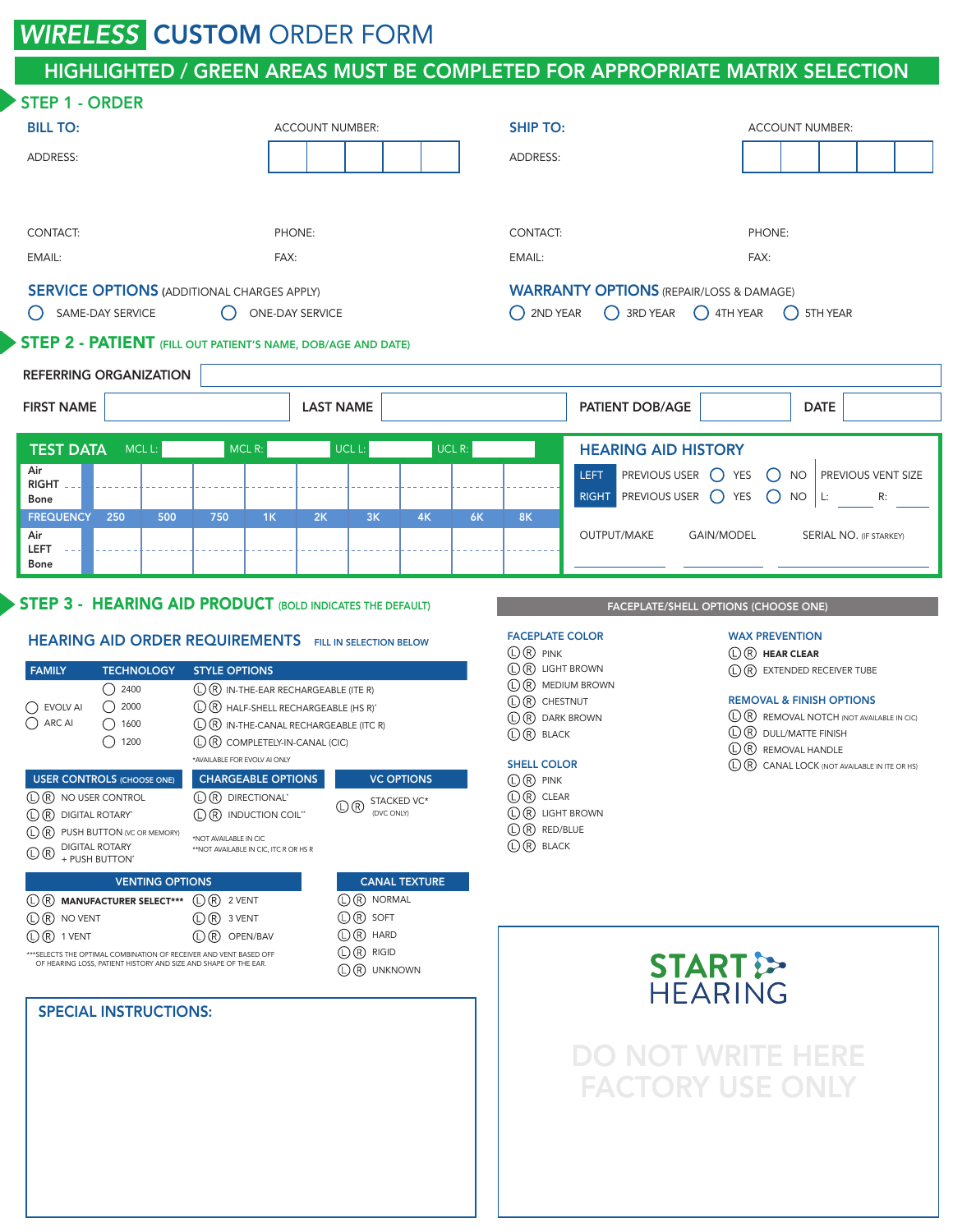## **WIRELESS CUSTOM ORDER FORM**

## HIGHLIGHTED / GREEN AREAS MUST BE COMPLETED FOR APPROPRIATE MATRIX SELECTION

| <b>STEP 1 - ORDER</b>                                                                                                                                                                                                                                                                                                                                                                                                                                                                                                                                                                                                                                                                                                                                                                                                                                                                                      |                                                     |                                                                                                                                                                                                                                                                                                                                                                         |                                                                                                                                                                                                                                                                                                                                |                                                                                                                 |  |  |
|------------------------------------------------------------------------------------------------------------------------------------------------------------------------------------------------------------------------------------------------------------------------------------------------------------------------------------------------------------------------------------------------------------------------------------------------------------------------------------------------------------------------------------------------------------------------------------------------------------------------------------------------------------------------------------------------------------------------------------------------------------------------------------------------------------------------------------------------------------------------------------------------------------|-----------------------------------------------------|-------------------------------------------------------------------------------------------------------------------------------------------------------------------------------------------------------------------------------------------------------------------------------------------------------------------------------------------------------------------------|--------------------------------------------------------------------------------------------------------------------------------------------------------------------------------------------------------------------------------------------------------------------------------------------------------------------------------|-----------------------------------------------------------------------------------------------------------------|--|--|
| <b>BILL TO:</b>                                                                                                                                                                                                                                                                                                                                                                                                                                                                                                                                                                                                                                                                                                                                                                                                                                                                                            |                                                     | <b>ACCOUNT NUMBER:</b>                                                                                                                                                                                                                                                                                                                                                  | <b>SHIP TO:</b>                                                                                                                                                                                                                                                                                                                | <b>ACCOUNT NUMBER:</b>                                                                                          |  |  |
| ADDRESS:                                                                                                                                                                                                                                                                                                                                                                                                                                                                                                                                                                                                                                                                                                                                                                                                                                                                                                   |                                                     |                                                                                                                                                                                                                                                                                                                                                                         | ADDRESS:                                                                                                                                                                                                                                                                                                                       |                                                                                                                 |  |  |
| CONTACT:                                                                                                                                                                                                                                                                                                                                                                                                                                                                                                                                                                                                                                                                                                                                                                                                                                                                                                   | PHONE:                                              |                                                                                                                                                                                                                                                                                                                                                                         |                                                                                                                                                                                                                                                                                                                                | CONTACT:<br>PHONE:                                                                                              |  |  |
| EMAIL:<br>FAX:                                                                                                                                                                                                                                                                                                                                                                                                                                                                                                                                                                                                                                                                                                                                                                                                                                                                                             |                                                     |                                                                                                                                                                                                                                                                                                                                                                         | EMAIL:                                                                                                                                                                                                                                                                                                                         | FAX:                                                                                                            |  |  |
| <b>SERVICE OPTIONS (ADDITIONAL CHARGES APPLY)</b><br>SAME-DAY SERVICE<br>$\bigcirc$<br>$\left( \right)$<br><b>ONE-DAY SERVICE</b>                                                                                                                                                                                                                                                                                                                                                                                                                                                                                                                                                                                                                                                                                                                                                                          |                                                     |                                                                                                                                                                                                                                                                                                                                                                         | $\bigcap$ 2ND YEAR                                                                                                                                                                                                                                                                                                             | <b>WARRANTY OPTIONS (REPAIR/LOSS &amp; DAMAGE)</b><br>3RD YEAR 4TH YEAR<br>5TH YEAR<br>$\left( \quad \right)$   |  |  |
| <b>STEP 2 - PATIENT</b> (FILL OUT PATIENT'S NAME, DOB/AGE AND DATE)<br><b>REFERRING ORGANIZATION</b>                                                                                                                                                                                                                                                                                                                                                                                                                                                                                                                                                                                                                                                                                                                                                                                                       |                                                     |                                                                                                                                                                                                                                                                                                                                                                         |                                                                                                                                                                                                                                                                                                                                |                                                                                                                 |  |  |
| <b>FIRST NAME</b>                                                                                                                                                                                                                                                                                                                                                                                                                                                                                                                                                                                                                                                                                                                                                                                                                                                                                          |                                                     | <b>LAST NAME</b>                                                                                                                                                                                                                                                                                                                                                        | <b>PATIENT DOB/AGE</b>                                                                                                                                                                                                                                                                                                         | <b>DATE</b>                                                                                                     |  |  |
| <b>TEST DATA</b><br>$MCL$ L:<br>Air<br><b>RIGHT</b><br>Bone<br><b>FREQUENCY</b><br>250<br>500<br>Air<br><b>LEFT</b><br>Bone                                                                                                                                                                                                                                                                                                                                                                                                                                                                                                                                                                                                                                                                                                                                                                                | $MCL$ R:<br>1K<br>750                               | UCL $R$ :<br>UCL L:<br>2K<br>3K<br>4K                                                                                                                                                                                                                                                                                                                                   | <b>HEARING AID HISTORY</b><br>PREVIOUS USER O YES<br>LEFT.<br>RIGHT PREVIOUS USER O YES<br><b>8K</b><br>6K<br>OUTPUT/MAKE                                                                                                                                                                                                      | PREVIOUS VENT SIZE<br>$()$ NO<br>$\bigcap$ NO   L:<br>R:<br><b>GAIN/MODEL</b><br><b>SERIAL NO. (IF STARKEY)</b> |  |  |
| <b>STEP 3 - HEARING AID PRODUCT (BOLD INDICATES THE DEFAULT)</b>                                                                                                                                                                                                                                                                                                                                                                                                                                                                                                                                                                                                                                                                                                                                                                                                                                           |                                                     |                                                                                                                                                                                                                                                                                                                                                                         |                                                                                                                                                                                                                                                                                                                                | FACEPLATE/SHELL OPTIONS (CHOOSE ONE)                                                                            |  |  |
| <b>HEARING AID ORDER REQUIREMENTS</b> FILL IN SELECTION BELOW<br><b>FAMILY</b><br><b>TECHNOLOGY</b><br><b>STYLE OPTIONS</b><br>$\bigcirc$ 2400<br>$(D)$ $(R)$ IN-THE-EAR RECHARGEABLE (ITE R)<br>$\bigcirc$ 2000<br>$\mathbb{O} \times$ HALF-SHELL RECHARGEABLE (HS R)*<br>$\bigcirc$ EVOLV AI<br>$\bigcirc$ ARC AI<br>$\bigcirc$ 1600<br>(D) (R) IN-THE-CANAL RECHARGEABLE (ITC R)<br>$\bigcirc$ 1200<br><b>CCC</b> COMPLETELY-IN-CANAL (CIC)<br>*AVAILABLE FOR EVOLV AI ONLY<br>CHARGEABLE OPTIONS<br><b>USER CONTROLS (CHOOSE ONE)</b><br><b>VC OPTIONS</b><br>$\mathbb{O}(\mathbb{R})$ DIRECTIONAL'<br>$(D)$ R NO USER CONTROL<br>STACKED VC*<br>$\mathbb{O}$ ®<br>(DVC ONLY)<br>(L) (R) DIGITAL ROTARY®<br>(L) (R) INDUCTION COIL"<br>(D) (R) PUSH BUTTON (VC OR MEMORY)<br>*NOT AVAILABLE IN CIC<br>DIGITAL ROTARY<br>**NOT AVAILABLE IN CIC, ITC R OR HS R<br>$\mathbb{O} \times$<br>+ PUSH BUTTON* |                                                     | <b>FACEPLATE COLOR</b><br>$\mathbb{O}\,\mathbb{R}$ PINK<br>$\mathbb{O}(\mathbb{R})$ LIGHT BROWN<br><b>C R MEDIUM BROWN</b><br><b>C</b> ® CHESTNUT<br><b>C R</b> DARK BROWN<br>$\mathbb{O}$ $\mathbb{R}$ black<br><b>SHELL COLOR</b><br>$\mathbb{O} \mathbb{R}$ pink<br><b>C</b> R CLEAR<br><b>C</b> R LIGHT BROWN<br>(D (R) RED/BLUE<br>$\mathbb{O}$ $\mathbb{R}$ black | <b>WAX PREVENTION</b><br>$\mathbb{O}\mathfrak{B}$ HEAR CLEAR<br>$\mathbb{O}(\mathbb{R})$ EXTENDED RECEIVER TUBE<br><b>REMOVAL &amp; FINISH OPTIONS</b><br>(D) (R) REMOVAL NOTCH (NOT AVAILABLE IN CIC)<br>$\mathbb{O}\mathbb{R}$ DULL/MATTE FINISH<br>(L) (R) REMOVAL HANDLE<br>(D (R) CANAL LOCK (NOT AVAILABLE IN ITE OR HS) |                                                                                                                 |  |  |
| <b>VENTING OPTIONS</b><br><b>CO MANUFACTURER SELECT*** CO R</b> 2 VENT<br>$\mathbb{O}(\mathbb{R})$ No vent<br>$\mathbb{O}(\mathbb{R})$ 1 vent<br>*** SELECTS THE OPTIMAL COMBINATION OF RECEIVER AND VENT BASED OFF<br>OF HEARING LOSS, PATIENT HISTORY AND SIZE AND SHAPE OF THE EAR.<br><b>SPECIAL INSTRUCTIONS:</b>                                                                                                                                                                                                                                                                                                                                                                                                                                                                                                                                                                                     | $\bigoplus$ $\bigoplus$ 3 VENT<br>$(L)(R)$ OPEN/BAV | <b>CANAL TEXTURE</b><br>$(D)$ R NORMAL<br>$(D)$ SOFT<br>$\mathbb{O}(\mathbb{R})$ Hard<br>$\mathbb{O} \mathbb{R}$ RIGID<br>(DR) UNKNOWN                                                                                                                                                                                                                                  |                                                                                                                                                                                                                                                                                                                                | <b>START</b><br><b>HEARING</b>                                                                                  |  |  |

DO NOT WRITE HERE FACTORY USE ONLY